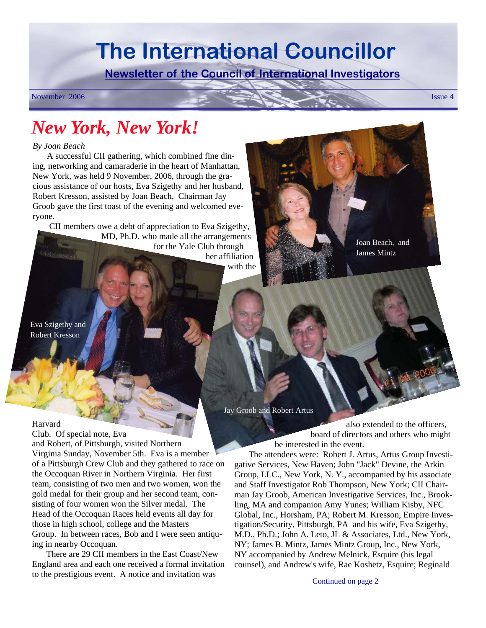# **The International Councillor**

**Newsletter of the Council of International Investigators**

November 2006 Issue 4

# *New York, New York!*

#### *By Joan Beach*

A successful CII gathering, which combined fine dining, networking and camaraderie in the heart of Manhattan, New York, was held 9 November, 2006, through the gracious assistance of our hosts, Eva Szigethy and her husband, Robert Kresson, assisted by Joan Beach. Chairman Jay Groob gave the first toast of the evening and welcomed everyone.

CII members owe a debt of appreciation to Eva Szigethy, MD, Ph.D. who made all the arrangements for the Yale Club through her affiliation with the Joan Beach, and James Mintz

Eva Szigethy and Robert Kresson

Jay Groob and Robert Artus

also extended to the officers, board of directors and others who might be interested in the event.

The attendees were: Robert J. Artus, Artus Group Investigative Services, New Haven; John "Jack" Devine, the Arkin Group, LLC., New York, N. Y., accompanied by his associate and Staff Investigator Rob Thompson, New York; CII Chairman Jay Groob, American Investigative Services, Inc., Brookling, MA and companion Amy Yunes; William Kisby, NFC Global, Inc., Horsham, PA; Robert M. Kresson, Empire Investigation/Security, Pittsburgh, PA and his wife, Eva Szigethy, M.D., Ph.D.; John A. Leto, JL & Associates, Ltd., New York, NY; James B. Mintz, James Mintz Group, Inc., New York, NY accompanied by Andrew Melnick, Esquire (his legal counsel), and Andrew's wife, Rae Koshetz, Esquire; Reginald

Harvard

Club. Of special note, Eva and Robert, of Pittsburgh, visited Northern Virginia Sunday, November 5th. Eva is a member of a Pittsburgh Crew Club and they gathered to race on the Occoquan River in Northern Virginia. Her first team, consisting of two men and two women, won the gold medal for their group and her second team, consisting of four women won the Silver medal. The Head of the Occoquan Races held events all day for those in high school, college and the Masters Group. In between races, Bob and I were seen antiquing in nearby Occoquan.

There are 29 CII members in the East Coast/New England area and each one received a formal invitation to the prestigious event. A notice and invitation was

Continued on page 2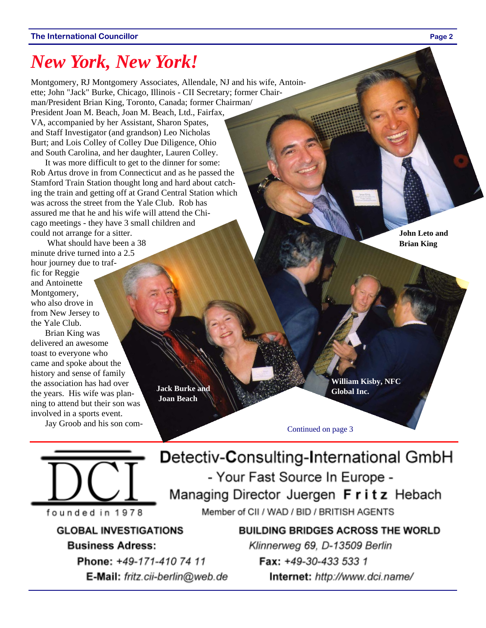## *New York, New York!*

Montgomery, RJ Montgomery Associates, Allendale, NJ and his wife, Antoinette; John "Jack" Burke, Chicago, Illinois - CII Secretary; former Chairman/President Brian King, Toronto, Canada; former Chairman/ President Joan M. Beach, Joan M. Beach, Ltd., Fairfax, VA, accompanied by her Assistant, Sharon Spates, and Staff Investigator (and grandson) Leo Nicholas Burt; and Lois Colley of Colley Due Diligence, Ohio and South Carolina, and her daughter, Lauren Colley.

It was more difficult to get to the dinner for some: Rob Artus drove in from Connecticut and as he passed the Stamford Train Station thought long and hard about catching the train and getting off at Grand Central Station which was across the street from the Yale Club. Rob has assured me that he and his wife will attend the Chicago meetings - they have 3 small children and could not arrange for a sitter.

 What should have been a 38 minute drive turned into a 2.5 hour journey due to traffic for Reggie and Antoinette Montgomery, who also drove in from New Jersey to the Yale Club.

Brian King was delivered an awesome toast to everyone who came and spoke about the history and sense of family the association has had over the years. His wife was planning to attend but their son was involved in a sports event.

Jay Groob and his son com-



**William Kisby, NFC Global Inc.** 

Continued on page 3



**GLOBAL INVESTIGATIONS Business Adress:** 

> Phone: +49-171-410 74 11 E-Mail: fritz.cii-berlin@web.de

Detectiv-Consulting-International GmbH - Your Fast Source In Europe -Managing Director Juergen Fritz Hebach

Member of CII / WAD / BID / BRITISH AGENTS

**BUILDING BRIDGES ACROSS THE WORLD** Klinnerweg 69, D-13509 Berlin Fax: +49-30-433 533 1 Internet: http://www.dci.name/

**John Leto and Brian King**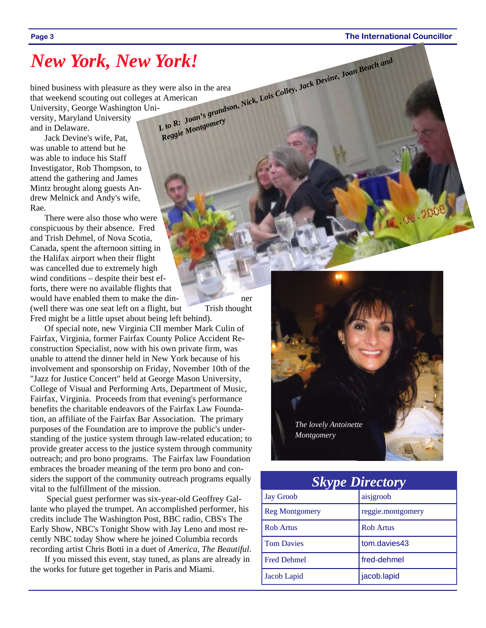## *New York, New York!*

bined business with pleasure as they were also in the area that weekend scouting out colleges at American University, George Washington Uni-*<sup>L</sup> to R: Joan's grandson, Nick, Lois Colley, Jack Devine, Joan Beach and Reggie Montgomery*

versity, Maryland University and in Delaware.

Jack Devine's wife, Pat, was unable to attend but he was able to induce his Staff Investigator, Rob Thompson, to attend the gathering and James Mintz brought along guests Andrew Melnick and Andy's wife, Rae.

There were also those who were conspicuous by their absence. Fred and Trish Dehmel, of Nova Scotia, Canada, spent the afternoon sitting in the Halifax airport when their flight was cancelled due to extremely high wind conditions – despite their best efforts, there were no available flights that would have enabled them to make the din-(well there was one seat left on a flight, but Trish thought Fred might be a little upset about being left behind).

Of special note, new Virginia CII member Mark Culin of Fairfax, Virginia, former Fairfax County Police Accident Reconstruction Specialist, now with his own private firm, was unable to attend the dinner held in New York because of his involvement and sponsorship on Friday, November 10th of the "Jazz for Justice Concert" held at George Mason University, College of Visual and Performing Arts, Department of Music, Fairfax, Virginia. Proceeds from that evening's performance benefits the charitable endeavors of the Fairfax Law Foundation, an affiliate of the Fairfax Bar Association. The primary purposes of the Foundation are to improve the public's understanding of the justice system through law-related education; to provide greater access to the justice system through community outreach; and pro bono programs. The Fairfax law Foundation embraces the broader meaning of the term pro bono and considers the support of the community outreach programs equally vital to the fulfillment of the mission.

 Special guest performer was six-year-old Geoffrey Gallante who played the trumpet. An accomplished performer, his credits include The Washington Post, BBC radio, CBS's The Early Show, NBC's Tonight Show with Jay Leno and most recently NBC today Show where he joined Columbia records recording artist Chris Botti in a duet of *America, The Beautiful*.

If you missed this event, stay tuned, as plans are already in the works for future get together in Paris and Miami.



| <b>Skype Directory</b> |                   |  |  |
|------------------------|-------------------|--|--|
| <b>Jay Groob</b>       | aisjgroob         |  |  |
| <b>Reg Montgomery</b>  | reggie.montgomery |  |  |
| <b>Rob Artus</b>       | <b>Rob Artus</b>  |  |  |
| <b>Tom Davies</b>      | tom.davies43      |  |  |
| <b>Fred Dehmel</b>     | fred-dehmel       |  |  |
| Jacob Lapid            | jacob.lapid       |  |  |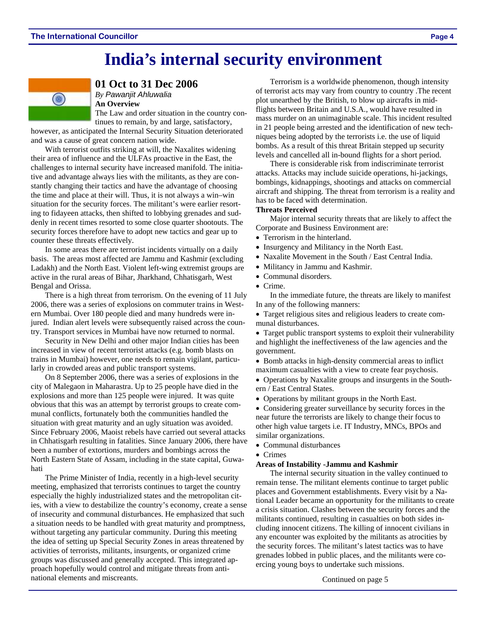## **India's internal security environment**



**01 Oct to 31 Dec 2006** 

*By Pawanjit Ahluwalia*  **An Overview** 

The Law and order situation in the country con-

tinues to remain, by and large, satisfactory, however, as anticipated the Internal Security Situation deteriorated and was a cause of great concern nation wide.

With terrorist outfits striking at will, the Naxalites widening their area of influence and the ULFAs proactive in the East, the challenges to internal security have increased manifold. The initiative and advantage always lies with the militants, as they are constantly changing their tactics and have the advantage of choosing the time and place at their will. Thus, it is not always a win–win situation for the security forces. The militant's were earlier resorting to fidayeen attacks, then shifted to lobbying grenades and suddenly in recent times resorted to some close quarter shootouts. The security forces therefore have to adopt new tactics and gear up to counter these threats effectively.

In some areas there are terrorist incidents virtually on a daily basis. The areas most affected are Jammu and Kashmir (excluding Ladakh) and the North East. Violent left-wing extremist groups are active in the rural areas of Bihar, Jharkhand, Chhatisgarh, West Bengal and Orissa.

There is a high threat from terrorism. On the evening of 11 July 2006, there was a series of explosions on commuter trains in Western Mumbai. Over 180 people died and many hundreds were injured. Indian alert levels were subsequently raised across the country. Transport services in Mumbai have now returned to normal.

Security in New Delhi and other major Indian cities has been increased in view of recent terrorist attacks (e.g. bomb blasts on trains in Mumbai) however, one needs to remain vigilant, particularly in crowded areas and public transport systems.

On 8 September 2006, there was a series of explosions in the city of Malegaon in Maharastra. Up to 25 people have died in the explosions and more than 125 people were injured. It was quite obvious that this was an attempt by terrorist groups to create communal conflicts, fortunately both the communities handled the situation with great maturity and an ugly situation was avoided. Since February 2006, Maoist rebels have carried out several attacks in Chhatisgarh resulting in fatalities. Since January 2006, there have been a number of extortions, murders and bombings across the North Eastern State of Assam, including in the state capital, Guwahati

The Prime Minister of India, recently in a high-level security meeting, emphasized that terrorists continues to target the country especially the highly industrialized states and the metropolitan cities, with a view to destabilize the country's economy, create a sense of insecurity and communal disturbances. He emphasized that such a situation needs to be handled with great maturity and promptness, without targeting any particular community. During this meeting the idea of setting up Special Security Zones in areas threatened by activities of terrorists, militants, insurgents, or organized crime groups was discussed and generally accepted. This integrated approach hopefully would control and mitigate threats from antinational elements and miscreants. Continued on page 5

Terrorism is a worldwide phenomenon, though intensity of terrorist acts may vary from country to country .The recent plot unearthed by the British, to blow up aircrafts in midflights between Britain and U.S.A., would have resulted in mass murder on an unimaginable scale. This incident resulted in 21 people being arrested and the identification of new techniques being adopted by the terrorists i.e. the use of liquid bombs. As a result of this threat Britain stepped up security levels and cancelled all in-bound flights for a short period.

There is considerable risk from indiscriminate terrorist attacks. Attacks may include suicide operations, hi-jackings, bombings, kidnappings, shootings and attacks on commercial aircraft and shipping. The threat from terrorism is a reality and has to be faced with determination.

#### **Threats Perceived**

Major internal security threats that are likely to affect the Corporate and Business Environment are:

- Terrorism in the hinterland.
- Insurgency and Militancy in the North East.
- Naxalite Movement in the South / East Central India.
- Militancy in Jammu and Kashmir.
- Communal disorders.
- Crime.

In the immediate future, the threats are likely to manifest In any of the following manners:

• Target religious sites and religious leaders to create communal disturbances.

• Target public transport systems to exploit their vulnerability and highlight the ineffectiveness of the law agencies and the government.

• Bomb attacks in high-density commercial areas to inflict maximum casualties with a view to create fear psychosis.

• Operations by Naxalite groups and insurgents in the Southern / East Central States.

• Operations by militant groups in the North East.

• Considering greater surveillance by security forces in the near future the terrorists are likely to change their focus to other high value targets i.e. IT Industry, MNCs, BPOs and similar organizations.

- Communal disturbances
- Crimes

#### **Areas of Instability -Jammu and Kashmir**

The internal security situation in the valley continued to remain tense. The militant elements continue to target public places and Government establishments. Every visit by a National Leader became an opportunity for the militants to create a crisis situation. Clashes between the security forces and the militants continued, resulting in casualties on both sides including innocent citizens. The killing of innocent civilians in any encounter was exploited by the militants as atrocities by the security forces. The militant's latest tactics was to have grenades lobbed in public places, and the militants were coercing young boys to undertake such missions.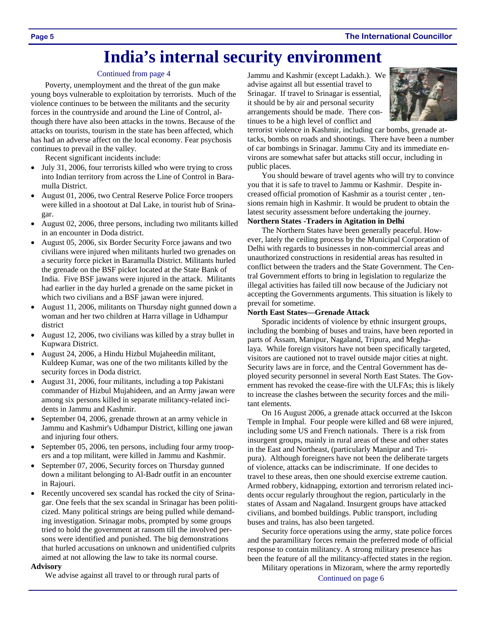## **India's internal security environment**

#### Continued from page 4

Poverty, unemployment and the threat of the gun make young boys vulnerable to exploitation by terrorists. Much of the violence continues to be between the militants and the security forces in the countryside and around the Line of Control, although there have also been attacks in the towns. Because of the attacks on tourists, tourism in the state has been affected, which has had an adverse affect on the local economy. Fear psychosis continues to prevail in the valley.

Recent significant incidents include:

- July 31, 2006, four terrorists killed who were trying to cross into Indian territory from across the Line of Control in Baramulla District.
- August 01, 2006, two Central Reserve Police Force troopers were killed in a shootout at Dal Lake, in tourist hub of Srinagar.
- August 02, 2006, three persons, including two militants killed in an encounter in Doda district.
- August 05, 2006, six Border Security Force jawans and two civilians were injured when militants hurled two grenades on a security force picket in Baramulla District. Militants hurled the grenade on the BSF picket located at the State Bank of India. Five BSF jawans were injured in the attack. Militants had earlier in the day hurled a grenade on the same picket in which two civilians and a BSF jawan were injured.
- August 11, 2006, militants on Thursday night gunned down a woman and her two children at Harra village in Udhampur district
- August 12, 2006, two civilians was killed by a stray bullet in Kupwara District.
- August 24, 2006, a Hindu Hizbul Mujaheedin militant, Kuldeep Kumar, was one of the two militants killed by the security forces in Doda district.
- August 31, 2006, four militants, including a top Pakistani commander of Hizbul Mujahideen, and an Army jawan were among six persons killed in separate militancy-related incidents in Jammu and Kashmir.
- September 04, 2006, grenade thrown at an army vehicle in Jammu and Kashmir's Udhampur District, killing one jawan and injuring four others.
- September 05, 2006, ten persons, including four army troopers and a top militant, were killed in Jammu and Kashmir.
- September 07, 2006, Security forces on Thursday gunned down a militant belonging to Al-Badr outfit in an encounter in Rajouri.
- Recently uncovered sex scandal has rocked the city of Srinagar. One feels that the sex scandal in Srinagar has been politicized. Many political strings are being pulled while demanding investigation. Srinagar mobs, prompted by some groups tried to hold the government at ransom till the involved persons were identified and punished. The big demonstrations that hurled accusations on unknown and unidentified culprits aimed at not allowing the law to take its normal course.

#### **Advisory**

We advise against all travel to or through rural parts of

Jammu and Kashmir (except Ladakh.). We advise against all but essential travel to Srinagar. If travel to Srinagar is essential, it should be by air and personal security arrangements should be made. There continues to be a high level of conflict and



terrorist violence in Kashmir, including car bombs, grenade attacks, bombs on roads and shootings. There have been a number of car bombings in Srinagar. Jammu City and its immediate environs are somewhat safer but attacks still occur, including in public places.

You should beware of travel agents who will try to convince you that it is safe to travel to Jammu or Kashmir. Despite increased official promotion of Kashmir as a tourist center , tensions remain high in Kashmir. It would be prudent to obtain the latest security assessment before undertaking the journey.

#### **Northern States -Traders in Agitation in Delhi**

The Northern States have been generally peaceful. However, lately the ceiling process by the Municipal Corporation of Delhi with regards to businesses in non-commercial areas and unauthorized constructions in residential areas has resulted in conflict between the traders and the State Government. The Central Government efforts to bring in legislation to regularize the illegal activities has failed till now because of the Judiciary not accepting the Governments arguments. This situation is likely to prevail for sometime.

#### **North East States—Grenade Attack**

Sporadic incidents of violence by ethnic insurgent groups, including the bombing of buses and trains, have been reported in parts of Assam, Manipur, Nagaland, Tripura, and Meghalaya. While foreign visitors have not been specifically targeted, visitors are cautioned not to travel outside major cities at night. Security laws are in force, and the Central Government has deployed security personnel in several North East States. The Government has revoked the cease-fire with the ULFAs; this is likely to increase the clashes between the security forces and the militant elements.

On 16 August 2006, a grenade attack occurred at the Iskcon Temple in Imphal. Four people were killed and 68 were injured, including some US and French nationals. There is a risk from insurgent groups, mainly in rural areas of these and other states in the East and Northeast, (particularly Manipur and Tripura). Although foreigners have not been the deliberate targets of violence, attacks can be indiscriminate. If one decides to travel to these areas, then one should exercise extreme caution. Armed robbery, kidnapping, extortion and terrorism related incidents occur regularly throughout the region, particularly in the states of Assam and Nagaland. Insurgent groups have attacked civilians, and bombed buildings. Public transport, including buses and trains, has also been targeted.

Security force operations using the army, state police forces and the paramilitary forces remain the preferred mode of official response to contain militancy. A strong military presence has been the feature of all the militancy-affected states in the region.

Military operations in Mizoram, where the army reportedly

Continued on page 6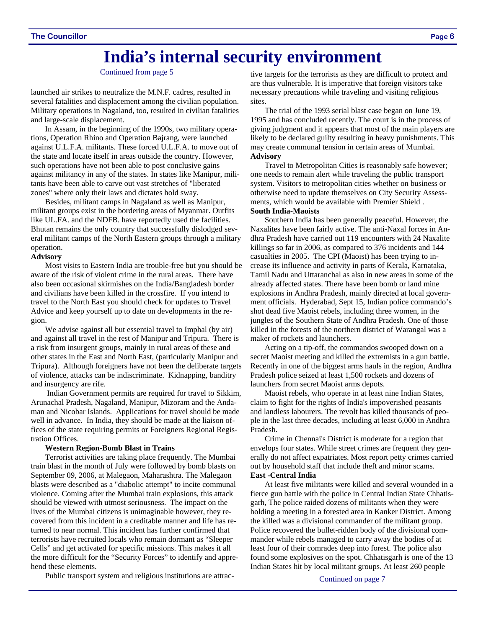## **India's internal security environment**

Continued from page 5

launched air strikes to neutralize the M.N.F. cadres, resulted in several fatalities and displacement among the civilian population. Military operations in Nagaland, too, resulted in civilian fatalities and large-scale displacement.

In Assam, in the beginning of the 1990s, two military operations, Operation Rhino and Operation Bajrang, were launched against U.L.F.A. militants. These forced U.L.F.A. to move out of the state and locate itself in areas outside the country. However, such operations have not been able to post conclusive gains against militancy in any of the states. In states like Manipur, militants have been able to carve out vast stretches of "liberated zones" where only their laws and dictates hold sway.

Besides, militant camps in Nagaland as well as Manipur, militant groups exist in the bordering areas of Myanmar. Outfits like UL.FA. and the NDFB. have reportedly used the facilities. Bhutan remains the only country that successfully dislodged several militant camps of the North Eastern groups through a military operation.

#### **Advisory**

Most visits to Eastern India are trouble-free but you should be aware of the risk of violent crime in the rural areas. There have also been occasional skirmishes on the India/Bangladesh border and civilians have been killed in the crossfire. If you intend to travel to the North East you should check for updates to Travel Advice and keep yourself up to date on developments in the region.

We advise against all but essential travel to Imphal (by air) and against all travel in the rest of Manipur and Tripura. There is a risk from insurgent groups, mainly in rural areas of these and other states in the East and North East, (particularly Manipur and Tripura). Although foreigners have not been the deliberate targets of violence, attacks can be indiscriminate. Kidnapping, banditry and insurgency are rife.

 Indian Government permits are required for travel to Sikkim, Arunachal Pradesh, Nagaland, Manipur, Mizoram and the Andaman and Nicobar Islands. Applications for travel should be made well in advance. In India, they should be made at the liaison offices of the state requiring permits or Foreigners Regional Registration Offices.

#### **Western Region-Bomb Blast in Trains**

Terrorist activities are taking place frequently. The Mumbai train blast in the month of July were followed by bomb blasts on September 09, 2006, at Malegaon, Maharashtra. The Malegaon blasts were described as a "diabolic attempt" to incite communal violence. Coming after the Mumbai train explosions, this attack should be viewed with utmost seriousness. The impact on the lives of the Mumbai citizens is unimaginable however, they recovered from this incident in a creditable manner and life has returned to near normal. This incident has further confirmed that terrorists have recruited locals who remain dormant as "Sleeper Cells" and get activated for specific missions. This makes it all the more difficult for the "Security Forces" to identify and apprehend these elements.

Public transport system and religious institutions are attrac-

tive targets for the terrorists as they are difficult to protect and are thus vulnerable. It is imperative that foreign visitors take necessary precautions while traveling and visiting religious sites.

The trial of the 1993 serial blast case began on June 19, 1995 and has concluded recently. The court is in the process of giving judgment and it appears that most of the main players are likely to be declared guilty resulting in heavy punishments. This may create communal tension in certain areas of Mumbai. **Advisory** 

Travel to Metropolitan Cities is reasonably safe however; one needs to remain alert while traveling the public transport system. Visitors to metropolitan cities whether on business or otherwise need to update themselves on City Security Assessments, which would be available with Premier Shield . **South India-Maoists** 

#### Southern India has been generally peaceful. However, the Naxalites have been fairly active. The anti-Naxal forces in Andhra Pradesh have carried out 119 encounters with 24 Naxalite killings so far in 2006, as compared to 376 incidents and 144 casualties in 2005. The CPI (Maoist) has been trying to increase its influence and activity in parts of Kerala, Karnataka, Tamil Nadu and Uttaranchal as also in new areas in some of the already affected states. There have been bomb or land mine explosions in Andhra Pradesh, mainly directed at local govern-

ment officials. Hyderabad, Sept 15, Indian police commando's shot dead five Maoist rebels, including three women, in the jungles of the Southern State of Andhra Pradesh. One of those killed in the forests of the northern district of Warangal was a maker of rockets and launchers.

Acting on a tip-off, the commandos swooped down on a secret Maoist meeting and killed the extremists in a gun battle. Recently in one of the biggest arms hauls in the region, Andhra Pradesh police seized at least 1,500 rockets and dozens of launchers from secret Maoist arms depots.

Maoist rebels, who operate in at least nine Indian States, claim to fight for the rights of India's impoverished peasants and landless labourers. The revolt has killed thousands of people in the last three decades, including at least 6,000 in Andhra Pradesh.

Crime in Chennai's District is moderate for a region that envelops four states. While street crimes are frequent they generally do not affect expatriates. Most report petty crimes carried out by household staff that include theft and minor scams.

#### **East -Central India**

At least five militants were killed and several wounded in a fierce gun battle with the police in Central Indian State Chhatisgarh, The police raided dozens of militants when they were holding a meeting in a forested area in Kanker District. Among the killed was a divisional commander of the militant group. Police recovered the bullet-ridden body of the divisional commander while rebels managed to carry away the bodies of at least four of their comrades deep into forest. The police also found some explosives on the spot. Chhatisgarh is one of the 13 Indian States hit by local militant groups. At least 260 people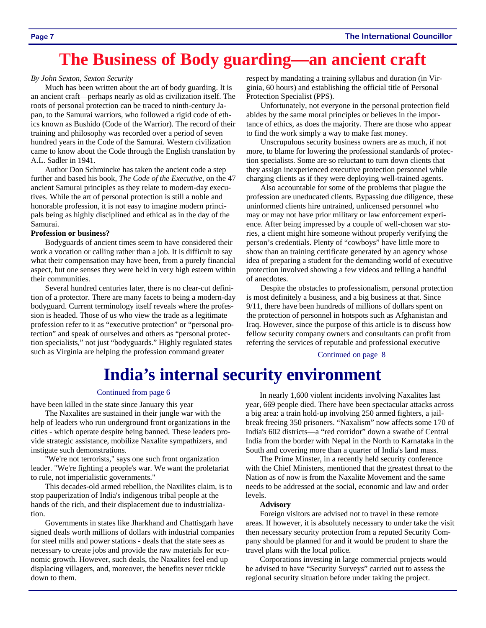## **The Business of Body guarding—an ancient craft**

#### *By John Sexton, Sexton Security*

Much has been written about the art of body guarding. It is an ancient craft—perhaps nearly as old as civilization itself. The roots of personal protection can be traced to ninth-century Japan, to the Samurai warriors, who followed a rigid code of ethics known as Bushido (Code of the Warrior). The record of their training and philosophy was recorded over a period of seven hundred years in the Code of the Samurai. Western civilization came to know about the Code through the English translation by A.L. Sadler in 1941.

Author Don Schmincke has taken the ancient code a step further and based his book, *The Code of the Executive,* on the 47 ancient Samurai principles as they relate to modern-day executives. While the art of personal protection is still a noble and honorable profession, it is not easy to imagine modern principals being as highly disciplined and ethical as in the day of the Samurai.

#### **Profession or business?**

Bodyguards of ancient times seem to have considered their work a vocation or calling rather than a job. It is difficult to say what their compensation may have been, from a purely financial aspect, but one senses they were held in very high esteem within their communities.

Several hundred centuries later, there is no clear-cut definition of a protector. There are many facets to being a modern-day bodyguard. Current terminology itself reveals where the profession is headed. Those of us who view the trade as a legitimate profession refer to it as "executive protection" or "personal protection" and speak of ourselves and others as "personal protection specialists," not just "bodyguards." Highly regulated states such as Virginia are helping the profession command greater

respect by mandating a training syllabus and duration (in Virginia, 60 hours) and establishing the official title of Personal Protection Specialist (PPS).

Unfortunately, not everyone in the personal protection field abides by the same moral principles or believes in the importance of ethics, as does the majority. There are those who appear to find the work simply a way to make fast money.

Unscrupulous security business owners are as much, if not more, to blame for lowering the professional standards of protection specialists. Some are so reluctant to turn down clients that they assign inexperienced executive protection personnel while charging clients as if they were deploying well-trained agents.

Also accountable for some of the problems that plague the profession are uneducated clients. Bypassing due diligence, these uninformed clients hire untrained, unlicensed personnel who may or may not have prior military or law enforcement experience. After being impressed by a couple of well-chosen war stories, a client might hire someone without properly verifying the person's credentials. Plenty of "cowboys" have little more to show than an training certificate generated by an agency whose idea of preparing a student for the demanding world of executive protection involved showing a few videos and telling a handful of anecdotes.

Despite the obstacles to professionalism, personal protection is most definitely a business, and a big business at that. Since 9/11, there have been hundreds of millions of dollars spent on the protection of personnel in hotspots such as Afghanistan and Iraq. However, since the purpose of this article is to discuss how fellow security company owners and consultants can profit from referring the services of reputable and professional executive

Continued on page 8

## **India's internal security environment**

#### Continued from page 6

have been killed in the state since January this year

The Naxalites are sustained in their jungle war with the help of leaders who run underground front organizations in the cities - which operate despite being banned. These leaders provide strategic assistance, mobilize Naxalite sympathizers, and instigate such demonstrations.

"We're not terrorists," says one such front organization leader. "We're fighting a people's war. We want the proletariat to rule, not imperialistic governments."

This decades-old armed rebellion, the Naxilites claim, is to stop pauperization of India's indigenous tribal people at the hands of the rich, and their displacement due to industrialization.

Governments in states like Jharkhand and Chattisgarh have signed deals worth millions of dollars with industrial companies for steel mills and power stations - deals that the state sees as necessary to create jobs and provide the raw materials for economic growth. However, such deals, the Naxalites feel end up displacing villagers, and, moreover, the benefits never trickle down to them.

In nearly 1,600 violent incidents involving Naxalites last year, 669 people died. There have been spectacular attacks across a big area: a train hold-up involving 250 armed fighters, a jailbreak freeing 350 prisoners. "Naxalism" now affects some 170 of India's 602 districts—a "red corridor" down a swathe of Central India from the border with Nepal in the North to Karnataka in the South and covering more than a quarter of India's land mass.

The Prime Minster, in a recently held security conference with the Chief Ministers, mentioned that the greatest threat to the Nation as of now is from the Naxalite Movement and the same needs to be addressed at the social, economic and law and order levels.

#### **Advisory**

Foreign visitors are advised not to travel in these remote areas. If however, it is absolutely necessary to under take the visit then necessary security protection from a reputed Security Company should be planned for and it would be prudent to share the travel plans with the local police.

Corporations investing in large commercial projects would be advised to have "Security Surveys" carried out to assess the regional security situation before under taking the project.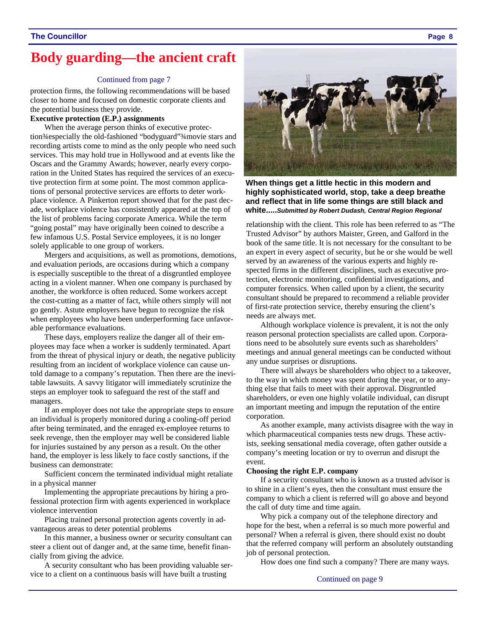### **Body guarding—the ancient craft**

#### Continued from page 7

protection firms, the following recommendations will be based closer to home and focused on domestic corporate clients and the potential business they provide.

#### **Executive protection (E.P.) assignments**

When the average person thinks of executive protection¾especially the old-fashioned "bodyguard"¾movie stars and recording artists come to mind as the only people who need such services. This may hold true in Hollywood and at events like the Oscars and the Grammy Awards; however, nearly every corporation in the United States has required the services of an executive protection firm at some point. The most common applications of personal protective services are efforts to deter workplace violence. A Pinkerton report showed that for the past decade, workplace violence has consistently appeared at the top of the list of problems facing corporate America. While the term "going postal" may have originally been coined to describe a few infamous U.S. Postal Service employees, it is no longer solely applicable to one group of workers.

Mergers and acquisitions, as well as promotions, demotions, and evaluation periods, are occasions during which a company is especially susceptible to the threat of a disgruntled employee acting in a violent manner. When one company is purchased by another, the workforce is often reduced. Some workers accept the cost-cutting as a matter of fact, while others simply will not go gently. Astute employers have begun to recognize the risk when employees who have been underperforming face unfavorable performance evaluations.

These days, employers realize the danger all of their employees may face when a worker is suddenly terminated. Apart from the threat of physical injury or death, the negative publicity resulting from an incident of workplace violence can cause untold damage to a company's reputation. Then there are the inevitable lawsuits. A savvy litigator will immediately scrutinize the steps an employer took to safeguard the rest of the staff and managers.

If an employer does not take the appropriate steps to ensure an individual is properly monitored during a cooling-off period after being terminated, and the enraged ex-employee returns to seek revenge, then the employer may well be considered liable for injuries sustained by any person as a result. On the other hand, the employer is less likely to face costly sanctions, if the business can demonstrate:

Sufficient concern the terminated individual might retaliate in a physical manner

Implementing the appropriate precautions by hiring a professional protection firm with agents experienced in workplace violence intervention

Placing trained personal protection agents covertly in advantageous areas to deter potential problems

In this manner, a business owner or security consultant can steer a client out of danger and, at the same time, benefit financially from giving the advice.

A security consultant who has been providing valuable service to a client on a continuous basis will have built a trusting



**When things get a little hectic in this modern and highly sophisticated world, stop, take a deep breathe and reflect that in life some things are still black and white.....***Submitted by Robert Dudash, Central Region Regional* 

relationship with the client. This role has been referred to as "The Trusted Advisor" by authors Maister, Green, and Galford in the book of the same title. It is not necessary for the consultant to be an expert in every aspect of security, but he or she would be well served by an awareness of the various experts and highly respected firms in the different disciplines, such as executive protection, electronic monitoring, confidential investigations, and computer forensics. When called upon by a client, the security consultant should be prepared to recommend a reliable provider of first-rate protection service, thereby ensuring the client's needs are always met.

Although workplace violence is prevalent, it is not the only reason personal protection specialists are called upon. Corporations need to be absolutely sure events such as shareholders' meetings and annual general meetings can be conducted without any undue surprises or disruptions.

There will always be shareholders who object to a takeover, to the way in which money was spent during the year, or to anything else that fails to meet with their approval. Disgruntled shareholders, or even one highly volatile individual, can disrupt an important meeting and impugn the reputation of the entire corporation.

As another example, many activists disagree with the way in which pharmaceutical companies tests new drugs. These activists, seeking sensational media coverage, often gather outside a company's meeting location or try to overrun and disrupt the event.

#### **Choosing the right E.P. company**

If a security consultant who is known as a trusted advisor is to shine in a client's eyes, then the consultant must ensure the company to which a client is referred will go above and beyond the call of duty time and time again.

Why pick a company out of the telephone directory and hope for the best, when a referral is so much more powerful and personal? When a referral is given, there should exist no doubt that the referred company will perform an absolutely outstanding job of personal protection.

How does one find such a company? There are many ways.

Continued on page 9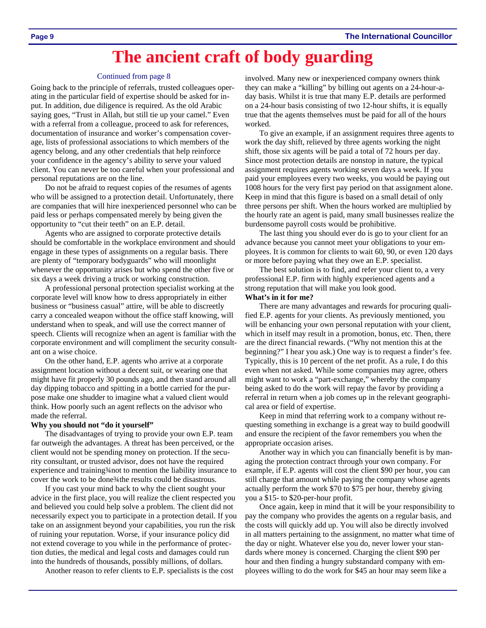## **The ancient craft of body guarding**

#### Continued from page 8

Going back to the principle of referrals, trusted colleagues operating in the particular field of expertise should be asked for input. In addition, due diligence is required. As the old Arabic saying goes, "Trust in Allah, but still tie up your camel." Even with a referral from a colleague, proceed to ask for references, documentation of insurance and worker's compensation coverage, lists of professional associations to which members of the agency belong, and any other credentials that help reinforce your confidence in the agency's ability to serve your valued client. You can never be too careful when your professional and personal reputations are on the line.

Do not be afraid to request copies of the resumes of agents who will be assigned to a protection detail. Unfortunately, there are companies that will hire inexperienced personnel who can be paid less or perhaps compensated merely by being given the opportunity to "cut their teeth" on an E.P. detail.

Agents who are assigned to corporate protective details should be comfortable in the workplace environment and should engage in these types of assignments on a regular basis. There are plenty of "temporary bodyguards" who will moonlight whenever the opportunity arises but who spend the other five or six days a week driving a truck or working construction.

A professional personal protection specialist working at the corporate level will know how to dress appropriately in either business or "business casual" attire, will be able to discreetly carry a concealed weapon without the office staff knowing, will understand when to speak, and will use the correct manner of speech. Clients will recognize when an agent is familiar with the corporate environment and will compliment the security consultant on a wise choice.

On the other hand, E.P. agents who arrive at a corporate assignment location without a decent suit, or wearing one that might have fit properly 30 pounds ago, and then stand around all day dipping tobacco and spitting in a bottle carried for the purpose make one shudder to imagine what a valued client would think. How poorly such an agent reflects on the advisor who made the referral.

#### **Why you should not "do it yourself"**

The disadvantages of trying to provide your own E.P. team far outweigh the advantages. A threat has been perceived, or the client would not be spending money on protection. If the security consultant, or trusted advisor, does not have the required experience and training ¥ and to mention the liability insurance to cover the work to be done<sup>3</sup>/4the results could be disastrous.

If you cast your mind back to why the client sought your advice in the first place, you will realize the client respected you and believed you could help solve a problem. The client did not necessarily expect you to participate in a protection detail. If you take on an assignment beyond your capabilities, you run the risk of ruining your reputation. Worse, if your insurance policy did not extend coverage to you while in the performance of protection duties, the medical and legal costs and damages could run into the hundreds of thousands, possibly millions, of dollars.

Another reason to refer clients to E.P. specialists is the cost

involved. Many new or inexperienced company owners think they can make a "killing" by billing out agents on a 24-hour-aday basis. Whilst it is true that many E.P. details are performed on a 24-hour basis consisting of two 12-hour shifts, it is equally true that the agents themselves must be paid for all of the hours worked.

To give an example, if an assignment requires three agents to work the day shift, relieved by three agents working the night shift, those six agents will be paid a total of 72 hours per day. Since most protection details are nonstop in nature, the typical assignment requires agents working seven days a week. If you paid your employees every two weeks, you would be paying out 1008 hours for the very first pay period on that assignment alone. Keep in mind that this figure is based on a small detail of only three persons per shift. When the hours worked are multiplied by the hourly rate an agent is paid, many small businesses realize the burdensome payroll costs would be prohibitive.

The last thing you should ever do is go to your client for an advance because you cannot meet your obligations to your employees. It is common for clients to wait 60, 90, or even 120 days or more before paying what they owe an E.P. specialist.

The best solution is to find, and refer your client to, a very professional E.P. firm with highly experienced agents and a strong reputation that will make you look good.

#### **What's in it for me?**

There are many advantages and rewards for procuring qualified E.P. agents for your clients. As previously mentioned, you will be enhancing your own personal reputation with your client, which in itself may result in a promotion, bonus, etc. Then, there are the direct financial rewards. ("Why not mention this at the beginning?" I hear you ask.) One way is to request a finder's fee. Typically, this is 10 percent of the net profit. As a rule, I do this even when not asked. While some companies may agree, others might want to work a "part-exchange," whereby the company being asked to do the work will repay the favor by providing a referral in return when a job comes up in the relevant geographical area or field of expertise.

Keep in mind that referring work to a company without requesting something in exchange is a great way to build goodwill and ensure the recipient of the favor remembers you when the appropriate occasion arises.

Another way in which you can financially benefit is by managing the protection contract through your own company. For example, if E.P. agents will cost the client \$90 per hour, you can still charge that amount while paying the company whose agents actually perform the work \$70 to \$75 per hour, thereby giving you a \$15- to \$20-per-hour profit.

Once again, keep in mind that it will be your responsibility to pay the company who provides the agents on a regular basis, and the costs will quickly add up. You will also be directly involved in all matters pertaining to the assignment, no matter what time of the day or night. Whatever else you do, never lower your standards where money is concerned. Charging the client \$90 per hour and then finding a hungry substandard company with employees willing to do the work for \$45 an hour may seem like a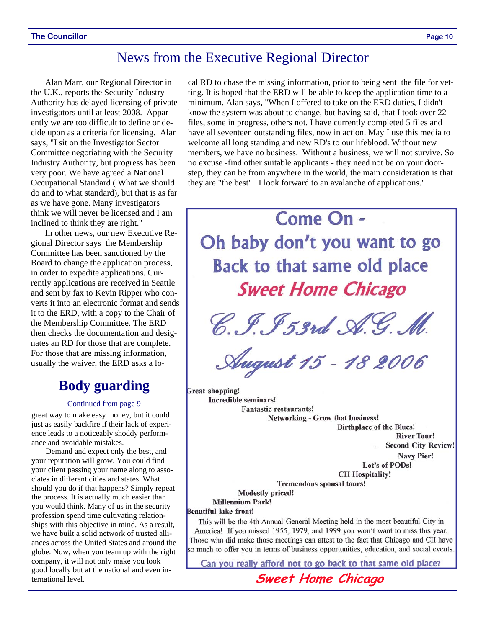### News from the Executive Regional Director

Alan Marr, our Regional Director in the U.K., reports the Security Industry Authority has delayed licensing of private investigators until at least 2008. Apparently we are too difficult to define or decide upon as a criteria for licensing. Alan says, "I sit on the Investigator Sector Committee negotiating with the Security Industry Authority, but progress has been very poor. We have agreed a National Occupational Standard ( What we should do and to what standard), but that is as far as we have gone. Many investigators think we will never be licensed and I am inclined to think they are right."

In other news, our new Executive Regional Director says the Membership Committee has been sanctioned by the Board to change the application process, in order to expedite applications. Currently applications are received in Seattle and sent by fax to Kevin Ripper who converts it into an electronic format and sends it to the ERD, with a copy to the Chair of the Membership Committee. The ERD then checks the documentation and designates an RD for those that are complete. For those that are missing information, usually the waiver, the ERD asks a lo-

### **Body guarding**

#### Continued from page 9

great way to make easy money, but it could just as easily backfire if their lack of experience leads to a noticeably shoddy performance and avoidable mistakes.

Demand and expect only the best, and your reputation will grow. You could find your client passing your name along to associates in different cities and states. What should you do if that happens? Simply repeat the process. It is actually much easier than you would think. Many of us in the security profession spend time cultivating relationships with this objective in mind. As a result, we have built a solid network of trusted alliances across the United States and around the globe. Now, when you team up with the right company, it will not only make you look good locally but at the national and even international level. **Sweet Home Chicago** 

cal RD to chase the missing information, prior to being sent the file for vetting. It is hoped that the ERD will be able to keep the application time to a minimum. Alan says, "When I offered to take on the ERD duties, I didn't know the system was about to change, but having said, that I took over 22 files, some in progress, others not. I have currently completed 5 files and have all seventeen outstanding files, now in action. May I use this media to welcome all long standing and new RD's to our lifeblood. Without new members, we have no business. Without a business, we will not survive. So no excuse -find other suitable applicants - they need not be on your doorstep, they can be from anywhere in the world, the main consideration is that they are "the best". I look forward to an avalanche of applications."



**Birthplace of the Blues! River Tour! Second City Review!** Navy Pier! Lot's of PODs! **CII Hospitality!** 

**Tremendous spousal tours!** 

**Modestly priced!** 

**Millennium Park!** 

#### **Beautiful lake front!**

This will be the 4th Annual General Meeting held in the most beautiful City in America! If you missed 1955, 1979, and 1999 you won't want to miss this year. Those who did make those meetings can attest to the fact that Chicago and CII have so much to offer you in terms of business opportunities, education, and social events.

Can you really afford not to go back to that same old place?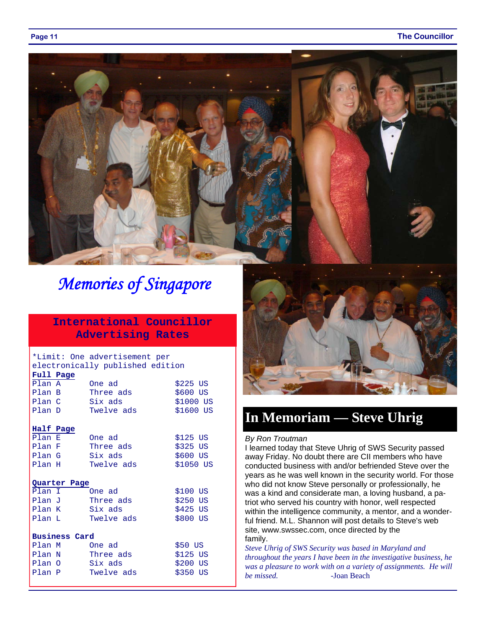#### **Page 11** The Councillor



## *Memories of Singapore*

### **International Councillor Advertising Rates**

#### \*Limit: One advertisement per electronically published edition

| Full Page            |            |            |  |  |
|----------------------|------------|------------|--|--|
| Plan A               | One ad     | $$225$ US  |  |  |
| Plan B               | Three ads  | $$600$ US  |  |  |
| Plan C               | Six ads    | \$1000 US  |  |  |
| Plan D               | Twelve ads | \$1600 US  |  |  |
|                      |            |            |  |  |
| Half Page            |            |            |  |  |
| Plan E               | One ad     | $$125$ US  |  |  |
| Plan F               | Three ads  | \$325 US   |  |  |
| Plan G               | Six ads    | \$600 US   |  |  |
| Plan H               | Twelve ads | $$1050$ US |  |  |
|                      |            |            |  |  |
| Quarter Page         |            |            |  |  |
|                      |            |            |  |  |
| Plan I               | One ad     | \$100 US   |  |  |
| Plan J               | Three ads  | $$250$ US  |  |  |
| Plan K               | Six ads    | $$425$ US  |  |  |
| Plan L               | Twelve ads | \$800 US   |  |  |
|                      |            |            |  |  |
| <b>Business Card</b> |            |            |  |  |
| Plan M               | One ad     | \$50 US    |  |  |
| Plan N               | Three ads  | $$125$ US  |  |  |
| Plan O               | Six ads    | \$200 US   |  |  |
| Plan P               | Twelve ads | \$350 US   |  |  |



### **In Memoriam — Steve Uhrig**

#### *By Ron Troutman*

I learned today that Steve Uhrig of SWS Security passed away Friday. No doubt there are CII members who have conducted business with and/or befriended Steve over the years as he was well known in the security world. For those who did not know Steve personally or professionally, he was a kind and considerate man, a loving husband, a patriot who served his country with honor, well respected within the intelligence community, a mentor, and a wonderful friend. M.L. Shannon will post details to Steve's web site, www.swssec.com, once directed by the family.

*Steve Uhrig of SWS Security was based in Maryland and throughout the years I have been in the investigative business, he was a pleasure to work with on a variety of assignments. He will be missed.* -Joan Beach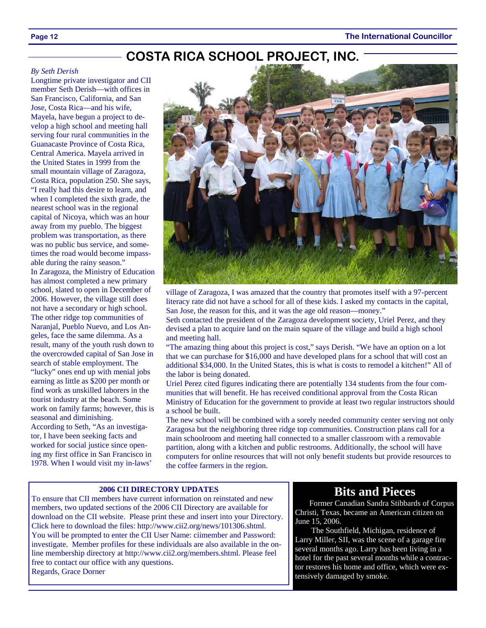### **COSTA RICA SCHOOL PROJECT, INC.**

#### *By Seth Derish*

Longtime private investigator and CII member Seth Derish—with offices in San Francisco, California, and San Jose, Costa Rica—and his wife, Mayela, have begun a project to develop a high school and meeting hall serving four rural communities in the Guanacaste Province of Costa Rica, Central America. Mayela arrived in the United States in 1999 from the small mountain village of Zaragoza, Costa Rica, population 250. She says, "I really had this desire to learn, and when I completed the sixth grade, the nearest school was in the regional capital of Nicoya, which was an hour away from my pueblo. The biggest problem was transportation, as there was no public bus service, and sometimes the road would become impassable during the rainy season." In Zaragoza, the Ministry of Education has almost completed a new primary school, slated to open in December of 2006. However, the village still does not have a secondary or high school. The other ridge top communities of Naranjal, Pueblo Nuevo, and Los Angeles, face the same dilemma. As a result, many of the youth rush down to the overcrowded capital of San Jose in search of stable employment. The "lucky" ones end up with menial jobs earning as little as \$200 per month or find work as unskilled laborers in the tourist industry at the beach. Some work on family farms; however, this is seasonal and diminishing. According to Seth, "As an investigator, I have been seeking facts and worked for social justice since opening my first office in San Francisco in 1978. When I would visit my in-laws'



village of Zaragoza, I was amazed that the country that promotes itself with a 97-percent literacy rate did not have a school for all of these kids. I asked my contacts in the capital, San Jose, the reason for this, and it was the age old reason—money."

Seth contacted the president of the Zaragoza development society, Uriel Perez, and they devised a plan to acquire land on the main square of the village and build a high school and meeting hall.

"The amazing thing about this project is cost," says Derish. "We have an option on a lot that we can purchase for \$16,000 and have developed plans for a school that will cost an additional \$34,000. In the United States, this is what is costs to remodel a kitchen!" All of the labor is being donated.

Uriel Perez cited figures indicating there are potentially 134 students from the four communities that will benefit. He has received conditional approval from the Costa Rican Ministry of Education for the government to provide at least two regular instructors should a school be built.

The new school will be combined with a sorely needed community center serving not only Zaragosa but the neighboring three ridge top communities. Construction plans call for a main schoolroom and meeting hall connected to a smaller classroom with a removable partition, along with a kitchen and public restrooms. Additionally, the school will have computers for online resources that will not only benefit students but provide resources to the coffee farmers in the region.

#### **2006 CII DIRECTORY UPDATES**

To ensure that CII members have current information on reinstated and new members, two updated sections of the 2006 CII Directory are available for download on the CII website. Please print these and insert into your Directory. Click here to download the files: http://www.cii2.org/news/101306.shtml. You will be prompted to enter the CII User Name: ciimember and Password: investigate. Member profiles for these individuals are also available in the online membership directory at http://www.cii2.org/members.shtml. Please feel free to contact our office with any questions. Regards, Grace Dorner

### **Bits and Pieces**

Former Canadian Sandra Stibbards of Corpus Christi, Texas, became an American citizen on June 15, 2006.

 The Southfield, Michigan, residence of Larry Miller, SII, was the scene of a garage fire several months ago. Larry has been living in a hotel for the past several months while a contractor restores his home and office, which were extensively damaged by smoke.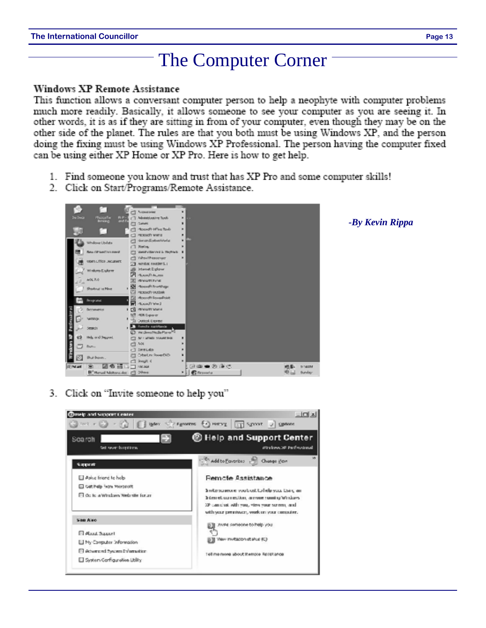# The Computer Corner

### **Windows XP Remote Assistance**

This function allows a conversant computer person to help a neophyte with computer problems much more readily. Basically, it allows someone to see your computer as you are seeing it. In other words, it is as if they are sitting in from of your computer, even though they may be on the other side of the planet. The rules are that you both must be using Windows XP, and the person doing the fixing must be using Windows XP Professional. The person having the computer fixed can be using either XP Home or XP Pro. Here is how to get help.

- 1. Find someone you know and trust that has XP Pro and some computer skills!
- 2. Click on Start/Programs/Remote Assistance.



3. Click on "Invite someone to help you"



### *-By Kevin Rippa*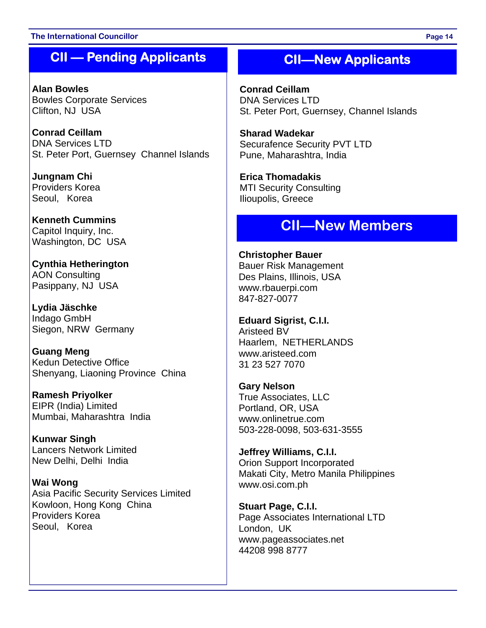### **The International Councillor Page 14**

### **CII — Pending Applicants**

**Alan Bowles**  Bowles Corporate Services Clifton, NJ USA

**Conrad Ceillam**  DNA Services LTD St. Peter Port, Guernsey Channel Islands

**Jungnam Chi**  Providers Korea Seoul, Korea

**Kenneth Cummins**  Capitol Inquiry, Inc. Washington, DC USA

**Cynthia Hetherington**  AON Consulting Pasippany, NJ USA

**Lydia Jäschke**  Indago GmbH Siegon, NRW Germany

**Guang Meng**  Kedun Detective Office Shenyang, Liaoning Province China

**Ramesh Priyolker**  EIPR (India) Limited Mumbai, Maharashtra India

**Kunwar Singh**  Lancers Network Limited New Delhi, Delhi India

**Wai Wong**  Asia Pacific Security Services Limited Kowloon, Hong Kong China Providers Korea Seoul, Korea

### **CII—New Applicants**

**Conrad Ceillam**  DNA Services LTD St. Peter Port, Guernsey, Channel Islands

**Sharad Wadekar**  Securafence Security PVT LTD Pune, Maharashtra, India

**Erica Thomadakis**  MTI Security Consulting Ilioupolis, Greece

### **CII—New Members**

**Christopher Bauer**  Bauer Risk Management Des Plains, Illinois, USA www.rbauerpi.com 847-827-0077

**Eduard Sigrist, C.I.I.**  Aristeed BV Haarlem, NETHERLANDS www.aristeed.com 31 23 527 7070

**Gary Nelson**  True Associates, LLC Portland, OR, USA www.onlinetrue.com 503-228-0098, 503-631-3555

**Jeffrey Williams, C.I.I.**  Orion Support Incorporated Makati City, Metro Manila Philippines www.osi.com.ph

**Stuart Page, C.I.I.**  Page Associates International LTD London, UK www.pageassociates.net 44208 998 8777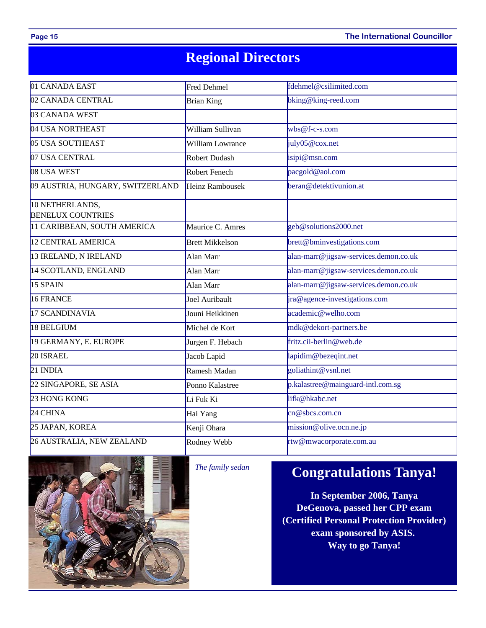**Page 15 The International Councillor** 

## **Regional Directors**

| 01 CANADA EAST                              | Fred Dehmel            | fdehmel@csilimited.com                |  |  |
|---------------------------------------------|------------------------|---------------------------------------|--|--|
| 02 CANADA CENTRAL                           | <b>Brian King</b>      | bking@king-reed.com                   |  |  |
| 03 CANADA WEST                              |                        |                                       |  |  |
| 04 USA NORTHEAST                            | William Sullivan       | $wbs@f-c-s.com$                       |  |  |
| 05 USA SOUTHEAST                            | William Lowrance       | july05@cox.net                        |  |  |
| 07 USA CENTRAL                              | Robert Dudash          | isipi@msn.com                         |  |  |
| 08 USA WEST                                 | Robert Fenech          | pacgold@aol.com                       |  |  |
| 09 AUSTRIA, HUNGARY, SWITZERLAND            | <b>Heinz Rambousek</b> | beran@detektivunion.at                |  |  |
| 10 NETHERLANDS,<br><b>BENELUX COUNTRIES</b> |                        |                                       |  |  |
| 11 CARIBBEAN, SOUTH AMERICA                 | Maurice C. Amres       | geb@solutions2000.net                 |  |  |
| <b>12 CENTRAL AMERICA</b>                   | <b>Brett Mikkelson</b> | brett@bminvestigations.com            |  |  |
| 13 IRELAND, N IRELAND                       | Alan Marr              | alan-marr@jigsaw-services.demon.co.uk |  |  |
| 14 SCOTLAND, ENGLAND                        | Alan Marr              | alan-marr@jigsaw-services.demon.co.uk |  |  |
| 15 SPAIN                                    | Alan Marr              | alan-marr@jigsaw-services.demon.co.uk |  |  |
| <b>16 FRANCE</b>                            | Joel Auribault         | ira@agence-investigations.com         |  |  |
| 17 SCANDINAVIA                              | Jouni Heikkinen        | academic@welho.com                    |  |  |
| 18 BELGIUM                                  | Michel de Kort         | mdk@dekort-partners.be                |  |  |
| 19 GERMANY, E. EUROPE                       | Jurgen F. Hebach       | fritz.cii-berlin@web.de               |  |  |
| $20$ ISRAEL                                 | Jacob Lapid            | lapidim@bezeqint.net                  |  |  |
| 21 INDIA                                    | Ramesh Madan           | goliathint@vsnl.net                   |  |  |
| 22 SINGAPORE, SE ASIA                       | Ponno Kalastree        | p.kalastree@mainguard-intl.com.sg     |  |  |
| 23 HONG KONG                                | Li Fuk Ki              | lifk@hkabc.net                        |  |  |
| 24 CHINA                                    | Hai Yang               | cn@sbcs.com.cn                        |  |  |
| 25 JAPAN, KOREA                             | Kenji Ohara            | mission@olive.ocn.ne.jp               |  |  |
| 26 AUSTRALIA, NEW ZEALAND                   | Rodney Webb            | rtw@mwacorporate.com.au               |  |  |



*The family sedan* 

### **Congratulations Tanya!**

**In September 2006, Tanya DeGenova, passed her CPP exam (Certified Personal Protection Provider) exam sponsored by ASIS. Way to go Tanya!**